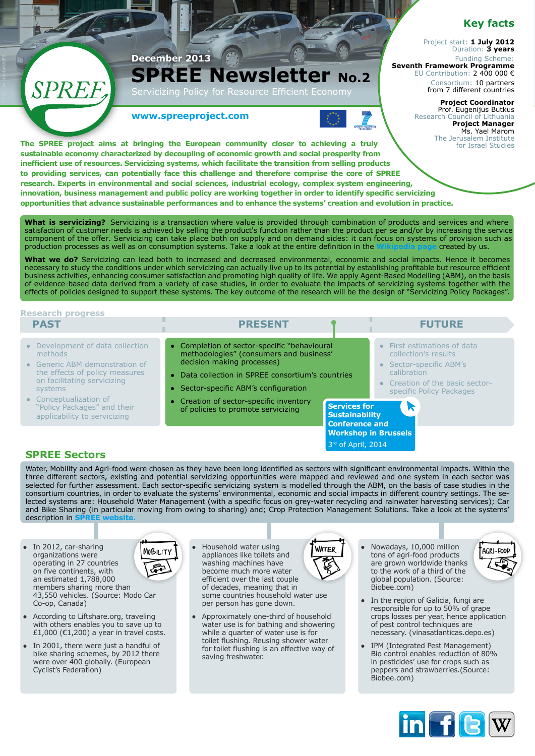## **Key facts**

Project start: **1 July 2012** Duration: **3 years** Funding Scheme: **Seventh Framework Programme**  EU Contribution: 2 400 000 €

Consortium: 10 partners from 7 different countries

#### **Project Coordinator**  Prof. Eugenijus Butkus Research Council of Lithuania **Project Manager**  Ms. Yael Marom The Jerusalem Institute

for Israel Studies

**www.spreeproject.com**

**December 2013**

Policy for



**The SPREE project aims at bringing the European community closer to achieving a truly sustainable economy characterized by decoupling of economic growth and social prosperity from inefficient use of resources. Servicizing systems, which facilitate the transition from selling products to providing services, can potentially face this challenge and therefore comprise the core of SPREE research. Experts in environmental and social sciences, industrial ecology, complex system engineering, innovation, business management and public policy are working together in order to identify specific servicizing opportunities that advance sustainable performances and to enhance the systems' creation and evolution in practice.**

**SPREE Newsletter No.2** 

**What is servicizing?** Servicizing is a transaction where value is provided through combination of products and services and where satisfaction of customer needs is achieved by selling the product's function rather than the product per se and/or by increasing the service component of the offer. Servicizing can take place both on supply and on demand sides: it can focus on systems of provision such as production processes as well as on consumption systems. Take a look at the entire defi[nition in the](http://en.wikipedia.org/wiki/Servicizing) **Wikipedia page** created by us.

What we do? Servicizing can lead both to increased and decreased environmental, economic and social impacts. Hence it becomes necessary to study the conditions under which servicizing can actually live up to its potential by establishing profitable but resource efficient business activities, enhancing consumer satisfaction and promoting high quality of life. We apply Agent-Based Modelling (ABM), on the basis of evidence-based data derived from a variety of case studies, in order to evaluate the impacts of servicizing systems together with the effects of policies designed to support these systems. The key outcome of the research will be the design of "Servicizing Policy Packages".

### **Research progress**

**SPRE** 

#### **past**

- **Development of data collection** methods
- **Generic ABM demonstration of** the effects of policy measures on facilitating servicizing systems
- **●** Conceptualization of "Policy Packages" and their applicability to servicizing
- **●** Completion of sector-specific "behavioural methodologies" (consumers and business'
- decision making processes) Data collection in SPREE consortium's countries
- **●** Sector-specific ABM's configuration
- **●** Creation of sector-specific inventory of policies to promote servicizing
- **Services for Sustainability Conference and [Workshop in Brussels](http://www.spreeproject.com/wp-content/uploads/2013/12/Services.pdf)** 3rd of April, 2014

**PRESENT FUTURE**

# **SPREE Sectors**

Water, Mobility and Agri-food were chosen as they have been long identified as sectors with significant environmental impacts. Within the three different sectors, existing and potential servicizing opportunities were mapped and reviewed and one system in each sector was selected for further assessment. Each sector-specific servicizing system is modelled through the ABM, on the basis of case studies in the consortium countries, in order to evaluate the systems' environmental, economic and social impacts in different country settings. The selected systems are: Household Water Management (with a specific focus on grey-water recycling and rainwater harvesting services); Car and Bike Sharing (in particular moving from owing to sharing) and; Crop Protection Management Solutions. Take a look at the systems' description in S

- **●** In 2012, car-sharing **MOBILITY** organizations were operating in 27 countries on five continents, with an estimated 1,788,000 members sharing more than 43,550 vehicles. (Source: Modo Car Co-op, Canada)
- **●** According to Liftshare.org, traveling with others enables you to save up to £1,000 ( $€1,200$ ) a year in travel costs.
- **●** In 2001, there were just a handful of bike sharing schemes, by 2012 there were over 400 globally. (European Cyclist's Federation)



**●** Approximately one-third of household water use is for bathing and showering while a quarter of water use is for toilet flushing. Reusing shower water for toilet flushing is an effective way of saving freshwater.



- **●** Nowadays, 10,000 million tons of agri-food products are grown worldwide thanks to the work of a third of the global population. (Source: Biobee.com)
- In the region of Galicia, fungi are responsible for up to 50% of grape crops losses per year, hence application of pest control techniques are necessary. (vinasatlanticas.depo.es)

**First estimations of data** collection's results **●** Sector-specific ABM's calibration

**●** Creation of the basic sectorspecific Policy Packages

**IPM (Integrated Pest Management)** Bio control enables reduction of 80% in pesticides' use for crops such as peppers and strawberries.(Source: Biobee.com)



AGRI-FOOD